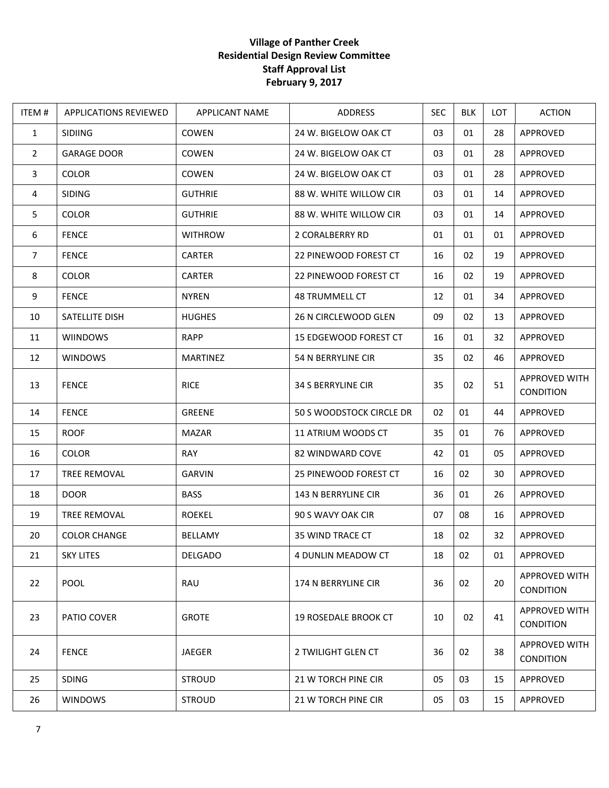## **Village of Panther Creek Residential Design Review Committee Staff Approval List February 9, 2017**

| ITEM#          | <b>APPLICATIONS REVIEWED</b> | APPLICANT NAME  | ADDRESS                     | <b>SEC</b> | <b>BLK</b> | <b>LOT</b> | <b>ACTION</b>                     |
|----------------|------------------------------|-----------------|-----------------------------|------------|------------|------------|-----------------------------------|
| $\mathbf{1}$   | <b>SIDIING</b>               | COWEN           | 24 W. BIGELOW OAK CT        | 03         | 01         | 28         | APPROVED                          |
| $\overline{2}$ | <b>GARAGE DOOR</b>           | <b>COWEN</b>    | 24 W. BIGELOW OAK CT        | 03         | 01         | 28         | APPROVED                          |
| $\mathbf{3}$   | <b>COLOR</b>                 | <b>COWEN</b>    | 24 W. BIGELOW OAK CT        | 03         | 01         | 28         | APPROVED                          |
| 4              | <b>SIDING</b>                | <b>GUTHRIE</b>  | 88 W. WHITE WILLOW CIR      | 03         | 01         | 14         | APPROVED                          |
| 5              | <b>COLOR</b>                 | <b>GUTHRIE</b>  | 88 W. WHITE WILLOW CIR      | 03         | 01         | 14         | APPROVED                          |
| 6              | <b>FENCE</b>                 | <b>WITHROW</b>  | 2 CORALBERRY RD             | 01         | 01         | 01         | APPROVED                          |
| $\overline{7}$ | <b>FENCE</b>                 | <b>CARTER</b>   | 22 PINEWOOD FOREST CT       | 16         | 02         | 19         | APPROVED                          |
| 8              | <b>COLOR</b>                 | <b>CARTER</b>   | 22 PINEWOOD FOREST CT       | 16         | 02         | 19         | APPROVED                          |
| 9              | <b>FENCE</b>                 | <b>NYREN</b>    | <b>48 TRUMMELL CT</b>       | 12         | 01         | 34         | APPROVED                          |
| 10             | SATELLITE DISH               | <b>HUGHES</b>   | 26 N CIRCLEWOOD GLEN        | 09         | 02         | 13         | APPROVED                          |
| 11             | <b>WIINDOWS</b>              | RAPP            | 15 EDGEWOOD FOREST CT       | 16         | 01         | 32         | APPROVED                          |
| 12             | <b>WINDOWS</b>               | <b>MARTINEZ</b> | 54 N BERRYLINE CIR          | 35         | 02         | 46         | APPROVED                          |
| 13             | <b>FENCE</b>                 | <b>RICE</b>     | <b>34 S BERRYLINE CIR</b>   | 35         | 02         | 51         | APPROVED WITH<br><b>CONDITION</b> |
| 14             | <b>FENCE</b>                 | GREENE          | 50 S WOODSTOCK CIRCLE DR    | 02         | 01         | 44         | APPROVED                          |
| 15             | <b>ROOF</b>                  | <b>MAZAR</b>    | 11 ATRIUM WOODS CT          | 35         | 01         | 76         | APPROVED                          |
| 16             | <b>COLOR</b>                 | RAY             | 82 WINDWARD COVE            | 42         | 01         | 05         | APPROVED                          |
| 17             | TREE REMOVAL                 | <b>GARVIN</b>   | 25 PINEWOOD FOREST CT       | 16         | 02         | 30         | APPROVED                          |
| 18             | <b>DOOR</b>                  | <b>BASS</b>     | 143 N BERRYLINE CIR         | 36         | 01         | 26         | APPROVED                          |
| 19             | <b>TREE REMOVAL</b>          | <b>ROEKEL</b>   | 90 S WAVY OAK CIR           | 07         | 08         | 16         | APPROVED                          |
| 20             | <b>COLOR CHANGE</b>          | BELLAMY         | 35 WIND TRACE CT            | 18         | 02         | 32         | APPROVED                          |
| 21             | <b>SKY LITES</b>             | <b>DELGADO</b>  | 4 DUNLIN MEADOW CT          | 18         | 02         | 01         | APPROVED                          |
| 22             | POOL                         | RAU             | 174 N BERRYLINE CIR         | 36         | 02         | 20         | APPROVED WITH<br>CONDITION        |
| 23             | PATIO COVER                  | <b>GROTE</b>    | <b>19 ROSEDALE BROOK CT</b> | 10         | 02         | 41         | APPROVED WITH<br><b>CONDITION</b> |
| 24             | <b>FENCE</b>                 | <b>JAEGER</b>   | 2 TWILIGHT GLEN CT          | 36         | 02         | 38         | APPROVED WITH<br><b>CONDITION</b> |
| 25             | <b>SDING</b>                 | <b>STROUD</b>   | 21 W TORCH PINE CIR         | 05         | 03         | 15         | APPROVED                          |
| 26             | <b>WINDOWS</b>               | <b>STROUD</b>   | 21 W TORCH PINE CIR         | 05         | 03         | 15         | APPROVED                          |
|                |                              |                 |                             |            |            |            |                                   |